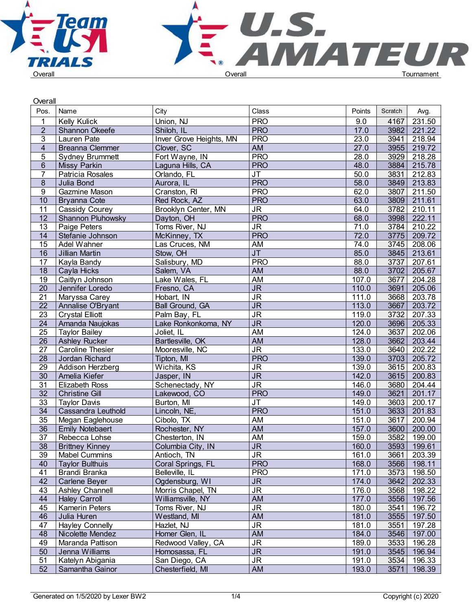

| Overall                 |                          |                         |                                   |        |                   |               |  |
|-------------------------|--------------------------|-------------------------|-----------------------------------|--------|-------------------|---------------|--|
| Pos.                    | Name                     | City                    | Class                             | Points | Scratch           | Avg.          |  |
|                         | <b>Kelly Kulick</b>      | Union, NJ               | <b>PRO</b>                        | 9.0    | 4167              | 231.50        |  |
| $\overline{2}$          | Shannon Okeefe           | Shiloh, IL              | <b>PRO</b>                        | 17.0   | 3982              | 221.22        |  |
| 3                       | Lauren Pate              | Inver Grove Heights, MN | <b>PRO</b>                        | 23.0   | 3941              | 218.94        |  |
| $\overline{\mathbf{4}}$ | <b>Breanna Clemmer</b>   | Clover, SC              | <b>AM</b>                         | 27.0   | 3955              | 219.72        |  |
| 5                       | <b>Sydney Brummett</b>   | Fort Wayne, IN          | <b>PRO</b>                        | 28.0   | 3929              | 218.28        |  |
| $6\phantom{.}$          | Missy Parkin             | Laguna Hills, CA        | <b>PRO</b>                        | 48.0   | 3884              | 215.78        |  |
| $\overline{7}$          | Patricia Rosales         | Orlando, FL             | <b>JT</b>                         | 50.0   | 3831              | 212.83        |  |
| 8                       | Julia Bond               | Aurora, IL              | <b>PRO</b>                        | 58.0   | 3849              | 213.83        |  |
| 9                       | Gazmine Mason            | Cranston, RI            | <b>PRO</b>                        | 62.0   | 3807              |               |  |
|                         |                          |                         |                                   |        |                   | 211.50        |  |
| 10                      | Bryanna Cote             | Red Rock, AZ            | <b>PRO</b>                        | 63.0   | 3809              | 211.61        |  |
| 11                      | <b>Cassidy Courey</b>    | Brooklyn Center, MN     | $\overline{\mathsf{J}\mathsf{R}}$ | 64.0   | 3782              | 210.11        |  |
| 12                      | <b>Shannon Pluhowsky</b> | Dayton, OH              | <b>PRO</b>                        | 68.0   | 3998              | 222.11        |  |
| 13                      | Paige Peters             | Toms River, NJ          | $\overline{\mathsf{J}\mathsf{R}}$ | 71.0   | 3784              | 210.22        |  |
| 14                      | Stefanie Johnson         | McKinney, TX            | <b>PRO</b>                        | 72.0   | 3775              | 209.72        |  |
| $\overline{15}$         | Adel Wahner              | Las Cruces, NM          | AM                                | 74.0   | 3745              | 208.06        |  |
| $\overline{16}$         | Jillian Martin           | Stow, OH                | $\overline{\mathsf{J}\mathsf{T}}$ | 85.0   | $\overline{3845}$ | 213.61        |  |
| 17                      | Kayla Bandy              | Salisbury, MD           | <b>PRO</b>                        | 88.0   | 3737              | 207.61        |  |
| 18                      | Cayla Hicks              | Salem, VA               | AM                                | 88.0   | 3702              | 205.67        |  |
| 19                      | Caitlyn Johnson          | Lake Wales, FL          | AM                                | 107.0  | 3677              | 204.28        |  |
| 20                      | Jennifer Loredo          | Fresno, CA              | $\overline{\mathsf{JR}}$          | 110.0  | 3691              | 205.06        |  |
| $\overline{21}$         | Maryssa Carey            | Hobart, IN              | $\overline{\mathsf{J}\mathsf{R}}$ | 111.0  | 3668              | 203.78        |  |
| $\overline{22}$         | Annalise O'Bryant        | <b>Ball Ground, GA</b>  | $\overline{\mathsf{JR}}$          | 113.0  | 3667              | 203.72        |  |
| 23                      | <b>Crystal Elliott</b>   | Palm Bay, FL            | $\overline{\mathsf{J}\mathsf{R}}$ | 119.0  | 3732              | 207.33        |  |
| $\overline{24}$         | Amanda Naujokas          | Lake Ronkonkoma, NY     | $\overline{\mathsf{JR}}$          | 120.0  | 3696              | 205.33        |  |
| $\overline{25}$         | <b>Taylor Bailey</b>     | Joliet, IL              | AM                                | 124.0  | 3637              | 202.06        |  |
| $\overline{26}$         | <b>Ashley Rucker</b>     | Bartlesville, OK        | AM                                | 128.0  | 3662              | 203.44        |  |
| $\overline{27}$         | <b>Caroline Thesier</b>  | Mooresville, NC         | $\overline{\mathsf{J}\mathsf{R}}$ | 133.0  | 3640              | 202.22        |  |
| 28                      | Jordan Richard           | Tipton, MI              | <b>PRO</b>                        | 139.0  | 3703              | 205.72        |  |
| 29                      | Addison Herzberg         | Wichita, KS             | $\overline{\mathsf{J}\mathsf{R}}$ | 139.0  | 3615              | 200.83        |  |
| 30                      | Amelia Kiefer            | Jasper, IN              | J <sub>R</sub>                    | 142.0  | 3615              | 200.83        |  |
| $\overline{31}$         | <b>Elizabeth Ross</b>    | Schenectady, NY         | $\overline{\mathsf{J}\mathsf{R}}$ | 146.0  | 3680              | 204.44        |  |
| $\overline{32}$         | <b>Christine Gill</b>    | Lakewood, CO            | <b>PRO</b>                        | 149.0  | 3621              | 201.17        |  |
| 33                      | <b>Taylor Davis</b>      | Burton, MI              | $\overline{\mathsf{J}\mathsf{T}}$ | 149.0  | 3603              | 200.17        |  |
| $\overline{34}$         | Cassandra Leuthold       | Lincoln, NE,            | <b>PRO</b>                        | 151.0  | $3633$            | 201.83        |  |
| 35                      | Megan Eaglehouse         | Cibolo, TX              | AM                                | 151.0  | 3617              | 200.94        |  |
| 36                      | <b>Emily Notebaert</b>   | Rochester, NY           | AM                                | 157.0  | 3600              | 200.00        |  |
| 37                      | Rebecca Lohse            | Chesterton, IN          | AM                                | 159.0  | 3582              | 199.00        |  |
| 38                      | <b>Brittney Kinney</b>   | Columbia City, IN       | JR.                               | 160.0  |                   | 3593   199.61 |  |
| 39                      | <b>Mabel Cummins</b>     | Antioch, TN             | <b>JR</b>                         | 161.0  | 3661              | 203.39        |  |
| 40                      | <b>Taylor Bulthuis</b>   | Coral Springs, FL       | <b>PRO</b>                        | 168.0  | 3566              | 198.11        |  |
| 41                      | Brandi Branka            | Belleville, IL          | <b>PRO</b>                        | 171.0  | 3573              | 198.50        |  |
| 42                      | Carlene Beyer            | Ogdensburg, WI          | $\overline{\mathsf{JR}}$          | 174.0  | 3642              | 202.33        |  |
|                         |                          |                         |                                   |        |                   |               |  |
| 43                      | Ashley Channell          | Morris Chapel, TN       | <b>JR</b>                         | 176.0  | 3568              | 198.22        |  |
| 44                      | <b>Haley Carroll</b>     | Williamsville, NY       | AM                                | 177.0  | 3556              | 197.56        |  |
| 45                      | <b>Kamerin Peters</b>    | Toms River, NJ          | <b>JR</b>                         | 180.0  | 3541              | 196.72        |  |
| 46                      | Julia Huren              | Westland, MI            | AM                                | 181.0  | 3555              | 197.50        |  |
| 47                      | <b>Hayley Connelly</b>   | Hazlet, NJ              | <b>JR</b>                         | 181.0  | 3551              | 197.28        |  |
| 48                      | Nicolette Mendez         | Homer Glen, IL          | AM                                | 184.0  | 3546              | 197.00        |  |
| 49                      | Maranda Pattison         | Redwood Valley, CA      | <b>JR</b>                         | 189.0  | 3533              | 196.28        |  |
| 50                      | Jenna Williams           | Homosassa, FL           | <b>JR</b>                         | 191.0  | 3545              | 196.94        |  |
| 51                      | Katelyn Abigania         | San Diego, CA           | $\overline{\mathsf{J}\mathsf{R}}$ | 191.0  | 3534              | 196.33        |  |
| 52                      | Samantha Gainor          | Chesterfield, MI        | AM                                | 193.0  | 3571              | 198.39        |  |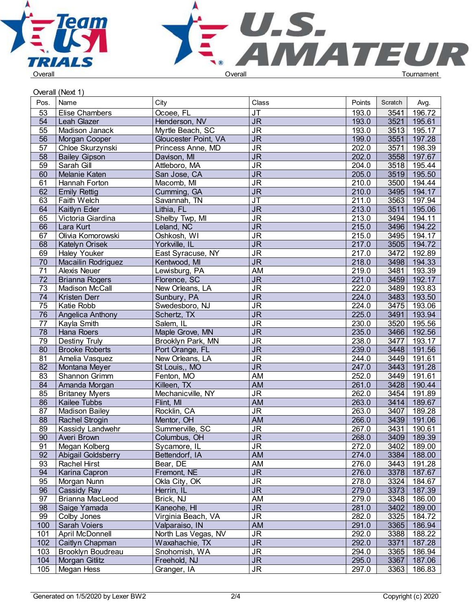



## Overall (Next 1)

|                 |                       |                      | Class                             |        |         |        |  |
|-----------------|-----------------------|----------------------|-----------------------------------|--------|---------|--------|--|
| Pos.            | Name                  | City                 |                                   | Points | Scratch | Avg.   |  |
| 53              | Elise Chambers        | Ocoee, FL            | $\overline{\mathsf{J}\mathsf{T}}$ | 193.0  | 3541    | 196.72 |  |
| 54              | Leah Glazer           | Henderson, NV        | $\overline{\mathsf{J}\mathsf{R}}$ | 193.0  | 3521    | 195.61 |  |
| $\overline{55}$ | Madison Janack        | Myrtle Beach, SC     | $\overline{\mathsf{J}\mathsf{R}}$ | 193.0  | 3513    | 195.17 |  |
| $\overline{56}$ | Morgan Cooper         | Gloucester Point, VA | $\overline{\mathsf{J}\mathsf{R}}$ | 199.0  | 3551    | 197.28 |  |
| 57              | Chloe Skurzynski      | Princess Anne, MD    | <b>JR</b>                         | 202.0  | 3571    | 198.39 |  |
| $\overline{58}$ | <b>Bailey Gipson</b>  | Davison, MI          | $\overline{\mathsf{J}\mathsf{R}}$ | 202.0  | 3558    | 197.67 |  |
| $\overline{59}$ | Sarah Gill            | Attleboro, MA        | $\overline{\mathsf{J}\mathsf{R}}$ | 204.0  | 3518    | 195.44 |  |
| 60              | Melanie Katen         | San Jose, CA         | $\overline{\mathsf{J}\mathsf{R}}$ | 205.0  | 3519    | 195.50 |  |
| 61              | Hannah Forton         | Macomb, MI           | $\overline{\mathsf{J}\mathsf{R}}$ | 210.0  | 3500    | 194.44 |  |
| 62              | <b>Emily Rettig</b>   | Cumming, GA          | <b>JR</b>                         | 210.0  | 3495    | 194.17 |  |
| 63              | <b>Faith Welch</b>    | Savannah, TN         | $\overline{\mathsf{J}\mathsf{T}}$ | 211.0  | 3563    | 197.94 |  |
| 64              | Kaitlyn Eder          | Lithia, FL           | $\overline{\mathsf{J}\mathsf{R}}$ | 213.0  | 3511    | 195.06 |  |
| 65              | Victoria Giardina     | Shelby Twp, MI       | $\overline{\mathsf{J}\mathsf{R}}$ | 213.0  | 3494    | 194.11 |  |
| 66              | Lara Kurt             | Leland, NC           | $\overline{\mathsf{J}\mathsf{R}}$ | 215.0  | 3496    | 194.22 |  |
| 67              | Olivia Komorowski     | Oshkosh, WI          | <b>JR</b>                         | 215.0  | 3495    | 194.17 |  |
| 68              | <b>Katelyn Orisek</b> | Yorkville, IL        | $\overline{\mathsf{J}\mathsf{R}}$ | 217.0  | 3505    | 194.72 |  |
| 69              | <b>Haley Youker</b>   | East Syracuse, NY    | <b>JR</b>                         | 217.0  | 3472    | 192.89 |  |
| 70              | Macailin Rodriguez    | Kentwood, MI         | $\overline{\mathsf{J}\mathsf{R}}$ | 218.0  | 3498    | 194.33 |  |
| 71              | Alexis Neuer          | Lewisburg, PA        | AM                                | 219.0  | 3481    | 193.39 |  |
| 72              | <b>Brianna Rogers</b> | Florence, SC         | $\overline{\mathsf{J}\mathsf{R}}$ | 221.0  | 3459    | 192.17 |  |
| 73              | <b>Madison McCall</b> | New Orleans, LA      | $\overline{\mathsf{J}\mathsf{R}}$ | 222.0  | 3489    | 193.83 |  |
| 74              | Kristen Derr          | Sunbury, PA          | $\overline{\mathsf{J}\mathsf{R}}$ | 224.0  | 3483    | 193.50 |  |
| $\overline{75}$ | Katie Robb            | Swedesboro, NJ       | $\overline{\mathsf{J}\mathsf{R}}$ | 224.0  | 3475    | 193.06 |  |
| 76              | Angelica Anthony      | Schertz, TX          | $\overline{\mathsf{J}\mathsf{R}}$ | 225.0  | 3491    | 193.94 |  |
| 77              | Kayla Smith           | Salem, IL            | $\overline{\mathsf{J}\mathsf{R}}$ | 230.0  | 3520    | 195.56 |  |
| 78              | Hana Roers            | Maple Grove, MN      | $\overline{\mathsf{J}\mathsf{R}}$ | 235.0  | 3466    | 192.56 |  |
| 79              | Destiny Truly         | Brooklyn Park, MN    | $\overline{\mathsf{J}\mathsf{R}}$ | 238.0  | 3477    | 193.17 |  |
| 80              | <b>Brooke Roberts</b> | Port Orange, FL      | $\overline{\mathsf{J}\mathsf{R}}$ | 239.0  | 3448    | 191.56 |  |
| 81              | Amelia Vasquez        | New Orleans, LA      | $\overline{\mathsf{J}\mathsf{R}}$ | 244.0  | 3449    | 191.61 |  |
| 82              | Montana Meyer         | St Louis,, MO        | $\overline{\mathsf{J}\mathsf{R}}$ | 247.0  | 3443    | 191.28 |  |
| 83              | Shannon Grimm         | Fenton, MO           | <b>AM</b>                         | 252.0  | 3449    | 191.61 |  |
| 84              | Amanda Morgan         | Killeen, TX          | AM                                | 261.0  | 3428    | 190.44 |  |
| 85              | <b>Britaney Myers</b> | Mechanicville, NY    | $\overline{\mathsf{J}\mathsf{R}}$ | 262.0  | 3454    | 191.89 |  |
| 86              | Kailee Tubbs          | Flint, MI            | AM                                | 263.0  | 3414    | 189.67 |  |
| 87              | <b>Madison Bailey</b> | Rocklin, CA          | $\overline{\mathsf{J}\mathsf{R}}$ | 263.0  | 3407    | 189.28 |  |
| 88              | <b>Rachel Strogin</b> | Mentor, OH           | <b>AM</b>                         | 266.0  | 3439    | 191.06 |  |
| 89              | Kassidy Landwehr      | Summerville, SC      | $\overline{\mathsf{J}\mathsf{R}}$ | 267.0  | 3431    | 190.61 |  |
| 90              | Averi Brown           | Columbus, OH         | $\overline{\mathsf{J}\mathsf{R}}$ | 268.0  | 3409    | 189.39 |  |
| 91              | Megan Kolberg         | Sycamore, IL         | <b>JR</b>                         | 272.0  | 3402    | 189.00 |  |
| 92              | Abigail Goldsberry    | Bettendorf, IA       | AM                                | 274.0  | 3384    | 188.00 |  |
| 93              | <b>Rachel Hirst</b>   | Bear, DE             | AM                                | 276.0  | 3443    | 191.28 |  |
| 94              | Karina Capron         | Fremont, NE          | $\overline{\mathsf{JR}}$          | 276.0  | 3378    | 187.67 |  |
| 95              | Morgan Nunn           | Okla City, OK        | <b>JR</b>                         | 278.0  | 3324    | 184.67 |  |
| 96              | <b>Cassidy Ray</b>    | Herrin, IL           | <b>JR</b>                         | 279.0  | 3373    | 187.39 |  |
| 97              | Brianna MacLeod       | Brick, NJ            | AM                                | 279.0  | 3348    | 186.00 |  |
| 98              | Saige Yamada          | Kaneohe, HI          | $\overline{\mathsf{JR}}$          | 281.0  | 3402    | 189.00 |  |
| 99              | Colby Jones           | Virginia Beach, VA   | $\overline{\mathsf{J}\mathsf{R}}$ | 282.0  | 3325    | 184.72 |  |
| 100             | Sarah Voiers          | Valparaiso, IN       | AM                                | 291.0  | 3365    | 186.94 |  |
| 101             | April McDonnell       | North Las Vegas, NV  | <b>JR</b>                         | 292.0  | 3388    | 188.22 |  |
| 102             | Caitlyn Chapman       | Waxahachie, TX       | $\overline{\mathsf{JR}}$          | 292.0  | 3371    | 187.28 |  |
| 103             | Brooklyn Boudreau     | Snohomish, WA        | <b>JR</b>                         | 294.0  | 3365    | 186.94 |  |
| 104             | Morgan Gitlitz        | Freehold, NJ         | <b>JR</b>                         | 295.0  | 3367    | 187.06 |  |
| 105             | Megan Hess            | Granger, IA          | $\overline{\mathsf{J}\mathsf{R}}$ | 297.0  | 3363    | 186.83 |  |
|                 |                       |                      |                                   |        |         |        |  |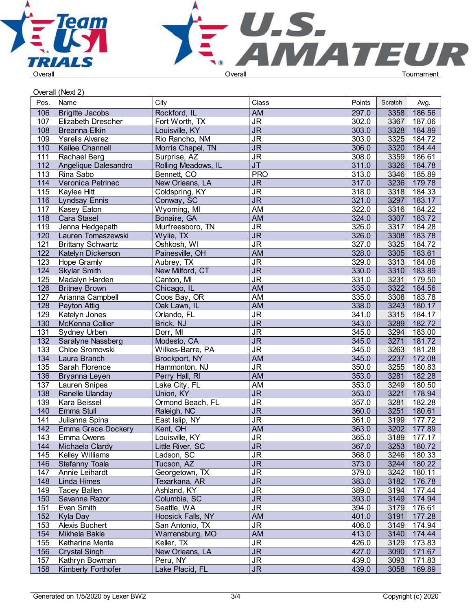



|                  | Overall (Next 2)          |                     |                                   |        |         |             |  |
|------------------|---------------------------|---------------------|-----------------------------------|--------|---------|-------------|--|
| Pos.             | Name                      | City                | Class                             | Points | Scratch | Avg.        |  |
| 106              | <b>Brigitte Jacobs</b>    | Rockford, IL        | AM                                | 297.0  | 3358    | 186.56      |  |
| 107              | <b>Elizabeth Drescher</b> | Fort Worth, TX      | $\overline{\mathsf{J}\mathsf{R}}$ | 302.0  | 3367    | 187.06      |  |
| 108              | Breanna Elkin             | Louisville, KY      | $\overline{\mathsf{JR}}$          | 303.0  | 3328    | 184.89      |  |
| 109              | Yarelis Alvarez           | Rio Rancho, NM      | <b>JR</b>                         | 303.0  | 3325    | 184.72      |  |
| 110              | Kailee Channell           | Morris Chapel, TN   | <b>JR</b>                         | 306.0  | 3320    | 184.44      |  |
| 111              | Rachael Berg              | Surprise, AZ        | <b>JR</b>                         | 308.0  | 3359    | 186.61      |  |
| 112              | Angelique Dalesandro      | Rolling Meadows, IL | $\overline{\mathsf{J}\mathsf{T}}$ | 311.0  | 3326    | 184.78      |  |
| 113              | Rina Sabo                 | Bennett, CO         | <b>PRO</b>                        | 313.0  | 3346    | 185.89      |  |
| 114              | Veronica Petrinec         | New Orleans, LA     | <b>JR</b>                         | 317.0  | 3236    | 179.78      |  |
| 115              | Kaylee Hitt               | Coldspring, KY      | <b>JR</b>                         | 318.0  | 3318    | 184.33      |  |
| 116              | <b>Lyndsay Ennis</b>      | Conway, SC          | <b>JR</b>                         | 321.0  | 3297    | 183.17      |  |
| 117              | Kasey Eaton               | Wyoming, MI         | AM                                | 322.0  | 3316    | 184.22      |  |
| 118              | <b>Cara Stasel</b>        | Bonaire, GA         | <b>AM</b>                         | 324.0  | 3307    | 183.72      |  |
| 119              | Jenna Hedgepath           | Murfreesboro, TN    | <b>JR</b>                         | 326.0  | 3317    | 184.28      |  |
| 120              | Lauren Tomaszewski        | Wylie, TX           | <b>JR</b>                         | 326.0  | 3308    | 183.78      |  |
| 121              | <b>Brittany Schwartz</b>  | Oshkosh, WI         | <b>JR</b>                         | 327.0  | 3325    | 184.72      |  |
| 122              | Katelyn Dickerson         | Painesville, OH     | <b>AM</b>                         | 328.0  | 3305    | 183.61      |  |
| 123              | Hope Gramly               | Aubrey, TX          | <b>JR</b>                         | 329.0  | 3313    | 184.06      |  |
| 124              | <b>Skylar Smith</b>       | New Milford, CT     | $\overline{\mathsf{JR}}$          | 330.0  | 3310    | 183.89      |  |
| 125              | Madalyn Harden            | Canton, MI          | <b>JR</b>                         | 331.0  | 3231    | 179.50      |  |
| 126              | <b>Britney Brown</b>      | Chicago, IL         | <b>AM</b>                         | 335.0  | 3322    | 184.56      |  |
| 127              | Arianna Campbell          | Coos Bay, OR        | AM                                | 335.0  | 3308    | 183.78      |  |
| 128              | Peyton Attig              | Oak Lawn, IL        | <b>AM</b>                         | 338.0  | 3243    | 180.17      |  |
| 129              | Katelyn Jones             | Orlando, FL         | <b>JR</b>                         | 341.0  | 3315    | 184.17      |  |
| 130              | McKenna Collier           | Brick, NJ           | $\overline{\mathsf{J}\mathsf{R}}$ | 343.0  | 3289    | 182.72      |  |
| 131              | Sydney Urben              | Dorr, MI            | <b>JR</b>                         | 345.0  | 3294    | 183.00      |  |
| $\overline{132}$ | Saralyne Nassberg         | Modesto, CA         | $\overline{\mathsf{J}\mathsf{R}}$ | 345.0  | 3271    | 181.72      |  |
| 133              | Chloe Sromovski           | Wilkes-Barre, PA    | <b>JR</b>                         | 345.0  | 3263    | 181.28      |  |
| 134              | Laura Branch              | Brockport, NY       | <b>AM</b>                         | 345.0  | 2237    | 172.08      |  |
| $\overline{135}$ | Sarah Florence            | Hammonton, NJ       | $\overline{\mathsf{J}\mathsf{R}}$ | 350.0  | 3255    | 180.83      |  |
| 136              | Bryanna Leyen             | Perry Hall, RI      | <b>AM</b>                         | 353.0  | 3281    | 182.28      |  |
| $\overline{137}$ | Lauren Snipes             | Lake City, FL       | AM                                | 353.0  | 3249    | 180.50      |  |
| 138              | Ranelle Ulanday           | Union, KY           | $\overline{\mathsf{JR}}$          | 353.0  | 3221    | 178.94      |  |
| 139              | Kara Beissel              | Ormond Beach, FL    | <b>JR</b>                         | 357.0  | 3281    | 182.28      |  |
| 140              | Emma Stull                | Raleigh, NC         | $\overline{\mathsf{J}\mathsf{R}}$ | 360.0  | 3251    | 180.61      |  |
| 141              | Julianna Spina            | East Islip, NY      | <b>JR</b>                         | 361.0  | 3199    | 177.72      |  |
| 142              | <b>Emma Grace Dockery</b> | Kent, OH            | AM                                | 363.0  | 3202    | 177.89      |  |
| 143              | Emma Owens                | Louisville, KY      | <b>JR</b>                         | 365.0  | 3189    | 177.17      |  |
| 144              | Michaela Clardy           | Little River, SC    | <b>JR</b>                         | 367.0  | 3253    | 180.72      |  |
| 145              | Kelley Williams           | Ladson, SC          | <b>JR</b>                         | 368.0  | 3246    | 180.33      |  |
| 146              | Stefanny Toala            | Tucson, AZ          | <b>JR</b>                         | 373.0  | 3244    | 180.22      |  |
| 147              | Annie Leihardt            | Georgetown, TX      | $\overline{\mathsf{J}\mathsf{R}}$ | 379.0  | 3242    | 180.11      |  |
| 148              | Linda Himes               | Texarkana, AR       | <b>JR</b>                         | 383.0  | 3182    | 176.78      |  |
| 149              | <b>Tacey Ballen</b>       | Ashland, KY         | <b>JR</b>                         | 389.0  | 3194    | 177.44      |  |
| 150              | Savanna Razor             | Columbia, SC        | $\overline{\mathsf{J}\mathsf{R}}$ | 393.0  | 3149    | 174.94      |  |
| 151              | Evan Smith                | Seattle, WA         | <b>JR</b>                         | 394.0  | 3179    | 176.61      |  |
| 152              | Kyla Day                  | Hoosick Falls, NY   | AM                                | 401.0  | 3191    | 177.28      |  |
| 153              | <b>Alexis Buchert</b>     | San Antonio, TX     | <b>JR</b>                         | 406.0  | 3149    | 174.94      |  |
| 154              | Mikhela Bakle             | Warrensburg, MO     | AM                                | 413.0  | 3140    | 174.44      |  |
| 155              | Katharina Mente           | Keller, TX          | <b>JR</b>                         | 426.0  | 3129    | 173.83      |  |
| 156              | <b>Crystal Singh</b>      | New Orleans, LA     | <b>JR</b>                         | 427.0  | 3090    | 171.67      |  |
| 157              | Kathryn Bowman            | Peru, NY            | <b>JR</b>                         | 439.0  | 3093    | 171.83      |  |
| 158              | Kimberly Forthofer        | Lake Placid, FL     | <b>JR</b>                         | 439.0  |         | 3058 169.89 |  |